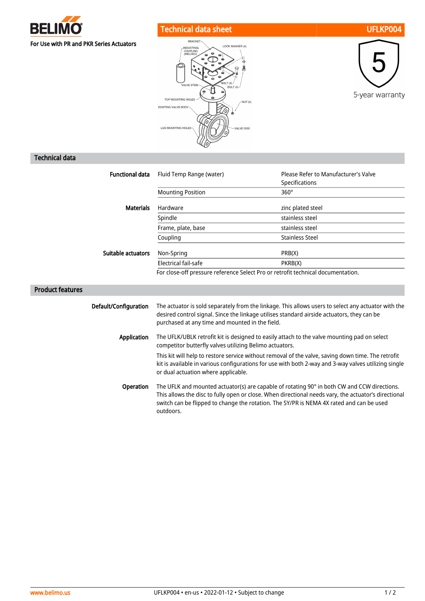

## Technical data sheet UFLKP004







## Technical data

Product features

|                        |                                                                                                                                                                                                                                                                                                                              | Please Refer to Manufacturer's Valve                                             |  |
|------------------------|------------------------------------------------------------------------------------------------------------------------------------------------------------------------------------------------------------------------------------------------------------------------------------------------------------------------------|----------------------------------------------------------------------------------|--|
| <b>Functional data</b> | Fluid Temp Range (water)                                                                                                                                                                                                                                                                                                     | Specifications                                                                   |  |
|                        | <b>Mounting Position</b>                                                                                                                                                                                                                                                                                                     | $360^\circ$                                                                      |  |
| <b>Materials</b>       | Hardware                                                                                                                                                                                                                                                                                                                     | zinc plated steel                                                                |  |
|                        | Spindle                                                                                                                                                                                                                                                                                                                      | stainless steel                                                                  |  |
|                        | Frame, plate, base                                                                                                                                                                                                                                                                                                           | stainless steel                                                                  |  |
|                        | Coupling                                                                                                                                                                                                                                                                                                                     | <b>Stainless Steel</b>                                                           |  |
| Suitable actuators     | Non-Spring                                                                                                                                                                                                                                                                                                                   | PRB(X)                                                                           |  |
|                        | Electrical fail-safe                                                                                                                                                                                                                                                                                                         | PKRB(X)                                                                          |  |
|                        |                                                                                                                                                                                                                                                                                                                              | For close-off pressure reference Select Pro or retrofit technical documentation. |  |
|                        |                                                                                                                                                                                                                                                                                                                              |                                                                                  |  |
| Default/Configuration  | The actuator is sold separately from the linkage. This allows users to select any actuator with the<br>desired control signal. Since the linkage utilises standard airside actuators, they can be<br>purchased at any time and mounted in the field.                                                                         |                                                                                  |  |
| <b>Application</b>     | The UFLK/UBLK retrofit kit is designed to easily attach to the valve mounting pad on select<br>competitor butterfly valves utilizing Belimo actuators.                                                                                                                                                                       |                                                                                  |  |
|                        | This kit will help to restore service without removal of the valve, saving down time. The retrofit<br>kit is available in various configurations for use with both 2-way and 3-way valves utilizing single<br>or dual actuation where applicable.                                                                            |                                                                                  |  |
| <b>Operation</b>       | The UFLK and mounted actuator(s) are capable of rotating 90° in both CW and CCW directions.<br>the second that is a second to the second the second second terms of the second second terms of the second second terms of the second second terms of the second second terms of the second second second second second terms |                                                                                  |  |

This allows the disc to fully open or close. When directional needs vary, the actuator's directional switch can be flipped to change the rotation. The SY/PR is NEMA 4X rated and can be used outdoors.